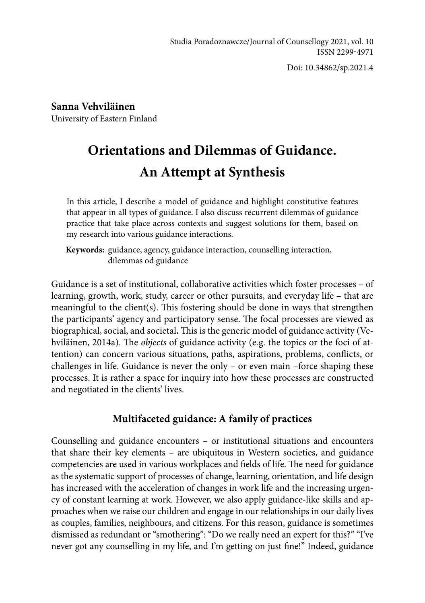Doi: 10.34862/sp.2021.4

**Sanna Vehviläinen** University of Eastern Finland

# **Orientations and Dilemmas of Guidance. An Attempt at Synthesis**

In this article, I describe a model of guidance and highlight constitutive features that appear in all types of guidance. I also discuss recurrent dilemmas of guidance practice that take place across contexts and suggest solutions for them, based on my research into various guidance interactions.

**Keywords:** guidance, agency, guidance interaction, counselling interaction, dilemmas od guidance

Guidance is a set of institutional, collaborative activities which foster processes – of learning, growth, work, study, career or other pursuits, and everyday life – that are meaningful to the client(s). This fostering should be done in ways that strengthen the participants' agency and participatory sense. The focal processes are viewed as biographical, social, and societal**.** This is the generic model of guidance activity (Vehviläinen, 2014a). The *objects* of guidance activity (e.g. the topics or the foci of attention) can concern various situations, paths, aspirations, problems, conflicts, or challenges in life. Guidance is never the only – or even main –force shaping these processes. It is rather a space for inquiry into how these processes are constructed and negotiated in the clients' lives.

# **Multifaceted guidance: A family of practices**

Counselling and guidance encounters – or institutional situations and encounters that share their key elements – are ubiquitous in Western societies, and guidance competencies are used in various workplaces and fields of life. The need for guidance as the systematic support of processes of change, learning, orientation, and life design has increased with the acceleration of changes in work life and the increasing urgency of constant learning at work. However, we also apply guidance-like skills and approaches when we raise our children and engage in our relationships in our daily lives as couples, families, neighbours, and citizens. For this reason, guidance is sometimes dismissed as redundant or "smothering": "Do we really need an expert for this?" "I've never got any counselling in my life, and I'm getting on just fine!" Indeed, guidance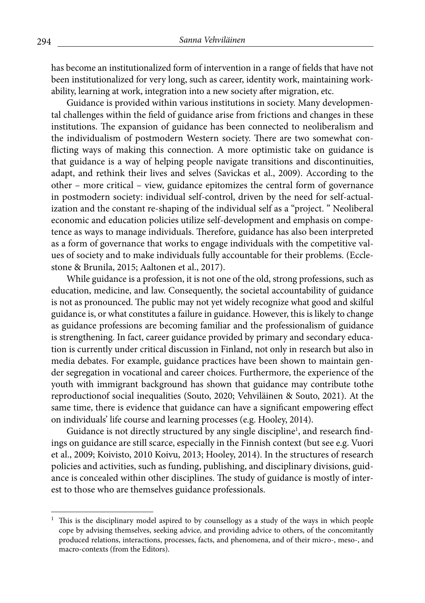has become an institutionalized form of intervention in a range of fields that have not been institutionalized for very long, such as career, identity work, maintaining workability, learning at work, integration into a new society after migration, etc.

Guidance is provided within various institutions in society. Many developmental challenges within the field of guidance arise from frictions and changes in these institutions. The expansion of guidance has been connected to neoliberalism and the individualism of postmodern Western society. There are two somewhat conflicting ways of making this connection. A more optimistic take on guidance is that guidance is a way of helping people navigate transitions and discontinuities, adapt, and rethink their lives and selves (Savickas et al., 2009). According to the other – more critical – view, guidance epitomizes the central form of governance in postmodern society: individual self-control, driven by the need for self-actualization and the constant re-shaping of the individual self as a "project. " Neoliberal economic and education policies utilize self-development and emphasis on competence as ways to manage individuals. Therefore, guidance has also been interpreted as a form of governance that works to engage individuals with the competitive values of society and to make individuals fully accountable for their problems. (Ecclestone & Brunila, 2015; Aaltonen et al., 2017).

While guidance is a profession, it is not one of the old, strong professions, such as education, medicine, and law. Consequently, the societal accountability of guidance is not as pronounced. The public may not yet widely recognize what good and skilful guidance is, or what constitutes a failure in guidance. However, this is likely to change as guidance professions are becoming familiar and the professionalism of guidance is strengthening. In fact, career guidance provided by primary and secondary education is currently under critical discussion in Finland, not only in research but also in media debates. For example, guidance practices have been shown to maintain gender segregation in vocational and career choices. Furthermore, the experience of the youth with immigrant background has shown that guidance may contribute tothe reproductionof social inequalities (Souto, 2020; Vehviläinen & Souto, 2021). At the same time, there is evidence that guidance can have a significant empowering effect on individuals' life course and learning processes (e.g. Hooley, 2014).

Guidance is not directly structured by any single discipline<sup>1</sup>, and research findings on guidance are still scarce, especially in the Finnish context (but see e.g. Vuori et al., 2009; Koivisto, 2010 Koivu, 2013; Hooley, 2014). In the structures of research policies and activities, such as funding, publishing, and disciplinary divisions, guidance is concealed within other disciplines. The study of guidance is mostly of interest to those who are themselves guidance professionals.

 $1$  This is the disciplinary model aspired to by counsellogy as a study of the ways in which people cope by advising themselves, seeking advice, and providing advice to others, of the concomitantly produced relations, interactions, processes, facts, and phenomena, and of their micro-, meso-, and macro-contexts (from the Editors).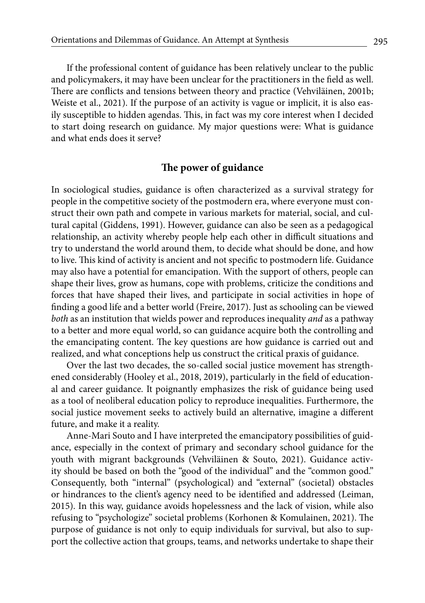If the professional content of guidance has been relatively unclear to the public and policymakers, it may have been unclear for the practitioners in the field as well. There are conflicts and tensions between theory and practice (Vehviläinen, 2001b; Weiste et al., 2021). If the purpose of an activity is vague or implicit, it is also easily susceptible to hidden agendas. This, in fact was my core interest when I decided to start doing research on guidance. My major questions were: What is guidance and what ends does it serve?

## **The power of guidance**

In sociological studies, guidance is often characterized as a survival strategy for people in the competitive society of the postmodern era, where everyone must construct their own path and compete in various markets for material, social, and cultural capital (Giddens, 1991). However, guidance can also be seen as a pedagogical relationship, an activity whereby people help each other in difficult situations and try to understand the world around them, to decide what should be done, and how to live. This kind of activity is ancient and not specific to postmodern life. Guidance may also have a potential for emancipation. With the support of others, people can shape their lives, grow as humans, cope with problems, criticize the conditions and forces that have shaped their lives, and participate in social activities in hope of finding a good life and a better world (Freire, 2017). Just as schooling can be viewed *both* as an institution that wields power and reproduces inequality *and* as a pathway to a better and more equal world, so can guidance acquire both the controlling and the emancipating content. The key questions are how guidance is carried out and realized, and what conceptions help us construct the critical praxis of guidance.

Over the last two decades, the so-called social justice movement has strengthened considerably (Hooley et al., 2018, 2019), particularly in the field of educational and career guidance. It poignantly emphasizes the risk of guidance being used as a tool of neoliberal education policy to reproduce inequalities. Furthermore, the social justice movement seeks to actively build an alternative, imagine a different future, and make it a reality.

Anne-Mari Souto and I have interpreted the emancipatory possibilities of guidance, especially in the context of primary and secondary school guidance for the youth with migrant backgrounds (Vehviläinen & Souto, 2021). Guidance activity should be based on both the "good of the individual" and the "common good." Consequently, both "internal" (psychological) and "external" (societal) obstacles or hindrances to the client's agency need to be identified and addressed (Leiman, 2015). In this way, guidance avoids hopelessness and the lack of vision, while also refusing to "psychologize" societal problems (Korhonen & Komulainen, 2021). The purpose of guidance is not only to equip individuals for survival, but also to support the collective action that groups, teams, and networks undertake to shape their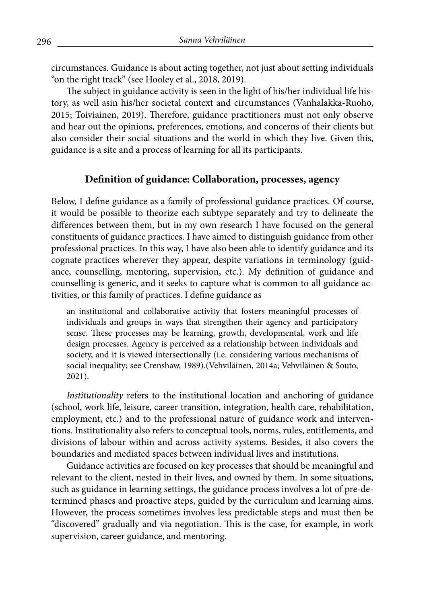circumstances. Guidance is about acting together, not just about setting individuals "on the right track" (see Hooley et al., 2018, 2019).

The subject in guidance activity is seen in the light of his/her individual life history, as well asin his/her societal context and circumstances (Vanhalakka-Ruoho, 2015; Toiviainen, 2019). Therefore, guidance practitioners must not only observe and hear out the opinions, preferences, emotions, and concerns of their clients but also consider their social situations and the world in which they live. Given this, guidance is a site and a process of learning for all its participants.

## **Definition of guidance: Collaboration, processes, agency**

Below, I define guidance as a family of professional guidance practices. Of course, it would be possible to theorize each subtype separately and try to delineate the differences between them, but in my own research I have focused on the general constituents of guidance practices. I have aimed to distinguish guidance from other professional practices. In this way, I have also been able to identify guidance and its cognate practices wherever they appear, despite variations in terminology (guidance, counselling, mentoring, supervision, etc.). My definition of guidance and counselling is generic, and it seeks to capture what is common to all guidance activities, or this family of practices. I define guidance as

an institutional and collaborative activity that fosters meaningful processes of individuals and groups in ways that strengthen their agency and participatory sense. These processes may be learning, growth, developmental, work and life design processes. Agency is perceived as a relationship between individuals and society, and it is viewed intersectionally (i.e. considering various mechanisms of social inequality; see Crenshaw, 1989).(Vehviläinen, 2014a; Vehviläinen & Souto, 2021).

*Institutionality* refers to the institutional location and anchoring of guidance (school, work life, leisure, career transition, integration, health care, rehabilitation, employment, etc.) and to the professional nature of guidance work and interventions. Institutionality also refers to conceptual tools, norms, rules, entitlements, and divisions of labour within and across activity systems. Besides, it also covers the boundaries and mediated spaces between individual lives and institutions.

Guidance activities are focused on key processes that should be meaningful and relevant to the client, nested in their lives, and owned by them. In some situations, such as guidance in learning settings, the guidance process involves a lot of pre-determined phases and proactive steps, guided by the curriculum and learning aims. However, the process sometimes involves less predictable steps and must then be "discovered" gradually and via negotiation. This is the case, for example, in work supervision, career guidance, and mentoring.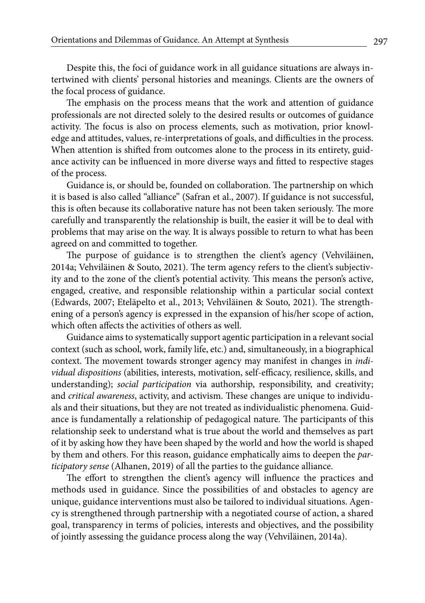Despite this, the foci of guidance work in all guidance situations are always intertwined with clients' personal histories and meanings. Clients are the owners of the focal process of guidance.

The emphasis on the process means that the work and attention of guidance professionals are not directed solely to the desired results or outcomes of guidance activity. The focus is also on process elements, such as motivation, prior knowledge and attitudes, values, re-interpretations of goals, and difficulties in the process. When attention is shifted from outcomes alone to the process in its entirety, guidance activity can be influenced in more diverse ways and fitted to respective stages of the process.

Guidance is, or should be, founded on collaboration. The partnership on which it is based is also called "alliance" (Safran et al., 2007). If guidance is not successful, this is often because its collaborative nature has not been taken seriously. The more carefully and transparently the relationship is built, the easier it will be to deal with problems that may arise on the way. It is always possible to return to what has been agreed on and committed to together.

The purpose of guidance is to strengthen the client's agency (Vehviläinen, 2014a; Vehviläinen & Souto, 2021). The term agency refers to the client's subjectivity and to the zone of the client's potential activity. This means the person's active, engaged, creative, and responsible relationship within a particular social context (Edwards, 2007; Eteläpelto et al., 2013; Vehviläinen & Souto, 2021). The strengthening of a person's agency is expressed in the expansion of his/her scope of action, which often affects the activities of others as well.

Guidance aims to systematically support agentic participation in a relevant social context (such as school, work, family life, etc.) and, simultaneously, in a biographical context. The movement towards stronger agency may manifest in changes in *individual dispositions* (abilities, interests, motivation, self-efficacy, resilience, skills, and understanding); *social participation* via authorship, responsibility, and creativity; and *critical awareness*, activity, and activism. These changes are unique to individuals and their situations, but they are not treated as individualistic phenomena. Guidance is fundamentally a relationship of pedagogical nature. The participants of this relationship seek to understand what is true about the world and themselves as part of it by asking how they have been shaped by the world and how the world is shaped by them and others. For this reason, guidance emphatically aims to deepen the *participatory sense* (Alhanen, 2019) of all the parties to the guidance alliance.

The effort to strengthen the client's agency will influence the practices and methods used in guidance. Since the possibilities of and obstacles to agency are unique, guidance interventions must also be tailored to individual situations. Agency is strengthened through partnership with a negotiated course of action, a shared goal, transparency in terms of policies, interests and objectives, and the possibility of jointly assessing the guidance process along the way (Vehviläinen, 2014a).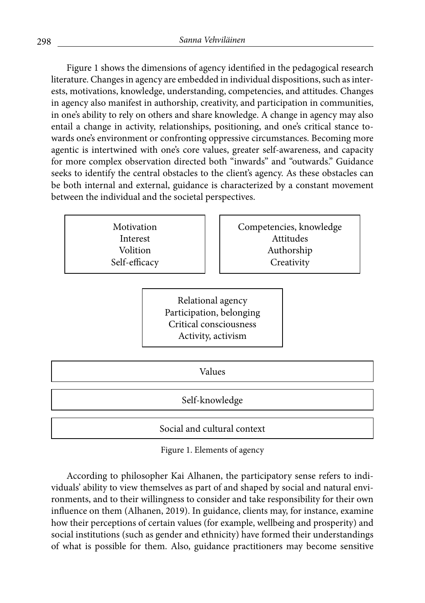Figure 1 shows the dimensions of agency identified in the pedagogical research literature. Changes in agency are embedded in individual dispositions, such as interests, motivations, knowledge, understanding, competencies, and attitudes. Changes in agency also manifest in authorship, creativity, and participation in communities, in one's ability to rely on others and share knowledge. A change in agency may also entail a change in activity, relationships, positioning, and one's critical stance towards one's environment or confronting oppressive circumstances. Becoming more agentic is intertwined with one's core values, greater self-awareness, and capacity for more complex observation directed both "inwards" and "outwards." Guidance seeks to identify the central obstacles to the client's agency. As these obstacles can be both internal and external, guidance is characterized by a constant movement between the individual and the societal perspectives.

> Motivation Interest Volition Self-efficacy

Competencies, knowledge Attitudes Authorship **Creativity** 

Relational agency Participation, belonging Critical consciousness Activity, activism

Values Self-knowledge Social and cultural context

Figure 1. Elements of agency

According to philosopher Kai Alhanen, the participatory sense refers to individuals' ability to view themselves as part of and shaped by social and natural environments, and to their willingness to consider and take responsibility for their own influence on them (Alhanen, 2019). In guidance, clients may, for instance, examine how their perceptions of certain values (for example, wellbeing and prosperity) and social institutions (such as gender and ethnicity) have formed their understandings of what is possible for them. Also, guidance practitioners may become sensitive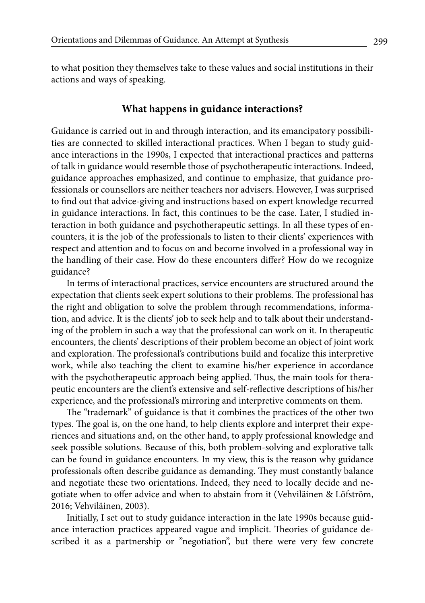to what position they themselves take to these values and social institutions in their actions and ways of speaking.

#### **What happens in guidance interactions?**

Guidance is carried out in and through interaction, and its emancipatory possibilities are connected to skilled interactional practices. When I began to study guidance interactions in the 1990s, I expected that interactional practices and patterns of talk in guidance would resemble those of psychotherapeutic interactions. Indeed, guidance approaches emphasized, and continue to emphasize, that guidance professionals or counsellors are neither teachers nor advisers. However, I was surprised to find out that advice-giving and instructions based on expert knowledge recurred in guidance interactions. In fact, this continues to be the case. Later, I studied interaction in both guidance and psychotherapeutic settings. In all these types of encounters, it is the job of the professionals to listen to their clients' experiences with respect and attention and to focus on and become involved in a professional way in the handling of their case. How do these encounters differ? How do we recognize guidance?

In terms of interactional practices, service encounters are structured around the expectation that clients seek expert solutions to their problems. The professional has the right and obligation to solve the problem through recommendations, information, and advice. It is the clients' job to seek help and to talk about their understanding of the problem in such a way that the professional can work on it. In therapeutic encounters, the clients' descriptions of their problem become an object of joint work and exploration. The professional's contributions build and focalize this interpretive work, while also teaching the client to examine his/her experience in accordance with the psychotherapeutic approach being applied. Thus, the main tools for therapeutic encounters are the client's extensive and self-reflective descriptions of his/her experience, and the professional's mirroring and interpretive comments on them.

The "trademark" of guidance is that it combines the practices of the other two types. The goal is, on the one hand, to help clients explore and interpret their experiences and situations and, on the other hand, to apply professional knowledge and seek possible solutions. Because of this, both problem-solving and explorative talk can be found in guidance encounters. In my view, this is the reason why guidance professionals often describe guidance as demanding. They must constantly balance and negotiate these two orientations. Indeed, they need to locally decide and negotiate when to offer advice and when to abstain from it (Vehviläinen & Löfström, 2016; Vehviläinen, 2003).

Initially, I set out to study guidance interaction in the late 1990s because guidance interaction practices appeared vague and implicit. Theories of guidance described it as a partnership or "negotiation", but there were very few concrete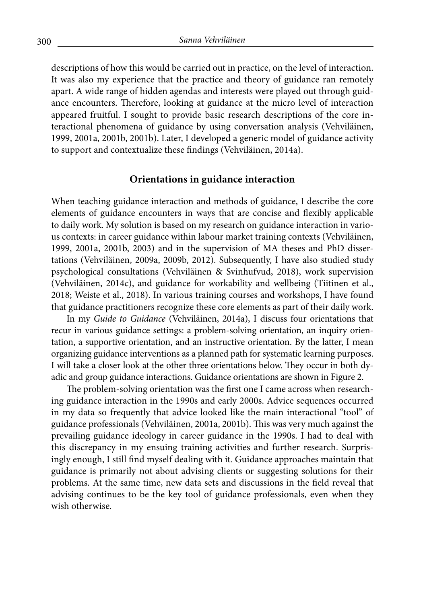descriptions of how this would be carried out in practice, on the level of interaction. It was also my experience that the practice and theory of guidance ran remotely apart. A wide range of hidden agendas and interests were played out through guidance encounters. Therefore, looking at guidance at the micro level of interaction appeared fruitful. I sought to provide basic research descriptions of the core interactional phenomena of guidance by using conversation analysis (Vehviläinen, 1999, 2001a, 2001b, 2001b). Later, I developed a generic model of guidance activity to support and contextualize these findings (Vehviläinen, 2014a).

### **Orientations in guidance interaction**

When teaching guidance interaction and methods of guidance, I describe the core elements of guidance encounters in ways that are concise and flexibly applicable to daily work. My solution is based on my research on guidance interaction in various contexts: in career guidance within labour market training contexts (Vehviläinen, 1999, 2001a, 2001b, 2003) and in the supervision of MA theses and PhD dissertations (Vehviläinen, 2009a, 2009b, 2012). Subsequently, I have also studied study psychological consultations (Vehviläinen & Svinhufvud, 2018), work supervision (Vehviläinen, 2014c), and guidance for workability and wellbeing (Tiitinen et al., 2018; Weiste et al., 2018). In various training courses and workshops, I have found that guidance practitioners recognize these core elements as part of their daily work.

In my *Guide to Guidance* (Vehviläinen, 2014a), I discuss four orientations that recur in various guidance settings: a problem-solving orientation, an inquiry orientation, a supportive orientation, and an instructive orientation. By the latter, I mean organizing guidance interventions as a planned path for systematic learning purposes. I will take a closer look at the other three orientations below. They occur in both dyadic and group guidance interactions. Guidance orientations are shown in Figure 2.

The problem-solving orientation was the first one I came across when researching guidance interaction in the 1990s and early 2000s. Advice sequences occurred in my data so frequently that advice looked like the main interactional "tool" of guidance professionals (Vehviläinen, 2001a, 2001b). This was very much against the prevailing guidance ideology in career guidance in the 1990s. I had to deal with this discrepancy in my ensuing training activities and further research. Surprisingly enough, I still find myself dealing with it. Guidance approaches maintain that guidance is primarily not about advising clients or suggesting solutions for their problems. At the same time, new data sets and discussions in the field reveal that advising continues to be the key tool of guidance professionals, even when they wish otherwise.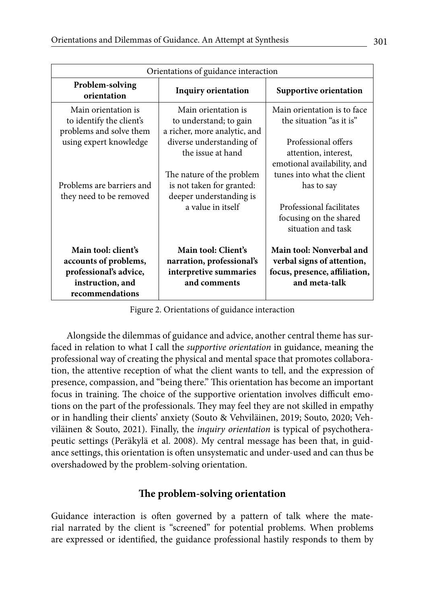| Orientations of guidance interaction                                                                          |                                                                                            |                                                                                                          |
|---------------------------------------------------------------------------------------------------------------|--------------------------------------------------------------------------------------------|----------------------------------------------------------------------------------------------------------|
| Problem-solving<br>orientation                                                                                | <b>Inquiry orientation</b>                                                                 | Supportive orientation                                                                                   |
| Main orientation is<br>to identify the client's<br>problems and solve them                                    | Main orientation is<br>to understand; to gain<br>a richer, more analytic, and              | Main orientation is to face<br>the situation "as it is"                                                  |
| using expert knowledge                                                                                        | diverse understanding of<br>the issue at hand                                              | Professional offers<br>attention, interest,<br>emotional availability, and                               |
| Problems are barriers and<br>they need to be removed                                                          | The nature of the problem<br>is not taken for granted:<br>deeper understanding is          | tunes into what the client<br>has to say                                                                 |
|                                                                                                               | a value in itself                                                                          | Professional facilitates<br>focusing on the shared<br>situation and task                                 |
| Main tool: client's<br>accounts of problems,<br>professional's advice,<br>instruction, and<br>recommendations | Main tool: Client's<br>narration, professional's<br>interpretive summaries<br>and comments | Main tool: Nonverbal and<br>verbal signs of attention,<br>focus, presence, affiliation,<br>and meta-talk |

Figure 2. Orientations of guidance interaction

Alongside the dilemmas of guidance and advice, another central theme has surfaced in relation to what I call the *supportive orientation* in guidance, meaning the professional way of creating the physical and mental space that promotes collaboration, the attentive reception of what the client wants to tell, and the expression of presence, compassion, and "being there." This orientation has become an important focus in training. The choice of the supportive orientation involves difficult emotions on the part of the professionals. They may feel they are not skilled in empathy or in handling their clients' anxiety (Souto & Vehviläinen, 2019; Souto, 2020; Vehviläinen & Souto, 2021). Finally, the *inquiry orientation* is typical of psychotherapeutic settings (Peräkylä et al. 2008). My central message has been that, in guidance settings, this orientation is often unsystematic and under-used and can thus be overshadowed by the problem-solving orientation.

## **The problem-solving orientation**

Guidance interaction is often governed by a pattern of talk where the material narrated by the client is "screened" for potential problems. When problems are expressed or identified, the guidance professional hastily responds to them by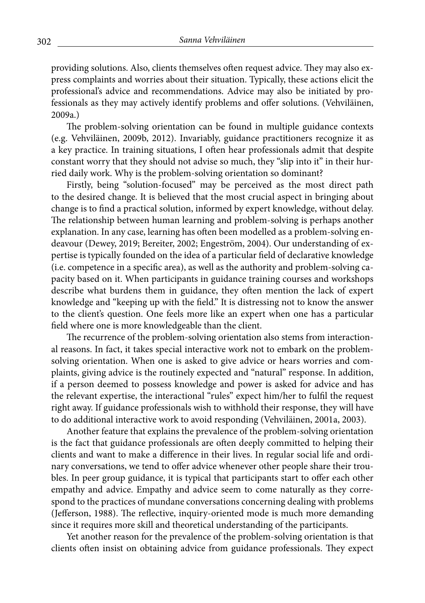providing solutions. Also, clients themselves often request advice. They may also express complaints and worries about their situation. Typically, these actions elicit the professional's advice and recommendations. Advice may also be initiated by professionals as they may actively identify problems and offer solutions. (Vehviläinen, 2009a.)

The problem-solving orientation can be found in multiple guidance contexts (e.g. Vehviläinen, 2009b, 2012). Invariably, guidance practitioners recognize it as a key practice. In training situations, I often hear professionals admit that despite constant worry that they should not advise so much, they "slip into it" in their hurried daily work. Why is the problem-solving orientation so dominant?

Firstly, being "solution-focused" may be perceived as the most direct path to the desired change. It is believed that the most crucial aspect in bringing about change is to find a practical solution, informed by expert knowledge, without delay. The relationship between human learning and problem-solving is perhaps another explanation. In any case, learning has often been modelled as a problem-solving endeavour (Dewey, 2019; Bereiter, 2002; Engeström, 2004). Our understanding of expertise is typically founded on the idea of a particular field of declarative knowledge (i.e. competence in a specific area), as well as the authority and problem-solving capacity based on it. When participants in guidance training courses and workshops describe what burdens them in guidance, they often mention the lack of expert knowledge and "keeping up with the field." It is distressing not to know the answer to the client's question. One feels more like an expert when one has a particular field where one is more knowledgeable than the client.

The recurrence of the problem-solving orientation also stems from interactional reasons. In fact, it takes special interactive work not to embark on the problemsolving orientation. When one is asked to give advice or hears worries and complaints, giving advice is the routinely expected and "natural" response. In addition, if a person deemed to possess knowledge and power is asked for advice and has the relevant expertise, the interactional "rules" expect him/her to fulfil the request right away. If guidance professionals wish to withhold their response, they will have to do additional interactive work to avoid responding (Vehviläinen, 2001a, 2003).

Another feature that explains the prevalence of the problem-solving orientation is the fact that guidance professionals are often deeply committed to helping their clients and want to make a difference in their lives. In regular social life and ordinary conversations, we tend to offer advice whenever other people share their troubles. In peer group guidance, it is typical that participants start to offer each other empathy and advice. Empathy and advice seem to come naturally as they correspond to the practices of mundane conversations concerning dealing with problems (Jefferson, 1988). The reflective, inquiry-oriented mode is much more demanding since it requires more skill and theoretical understanding of the participants.

Yet another reason for the prevalence of the problem-solving orientation is that clients often insist on obtaining advice from guidance professionals. They expect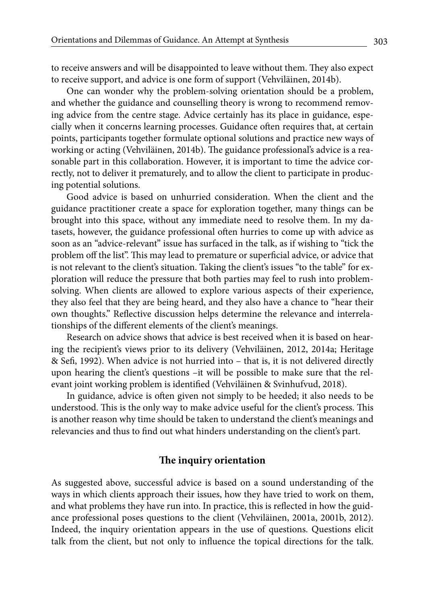to receive answers and will be disappointed to leave without them. They also expect to receive support, and advice is one form of support (Vehviläinen, 2014b).

One can wonder why the problem-solving orientation should be a problem, and whether the guidance and counselling theory is wrong to recommend removing advice from the centre stage. Advice certainly has its place in guidance, especially when it concerns learning processes. Guidance often requires that, at certain points, participants together formulate optional solutions and practice new ways of working or acting (Vehviläinen, 2014b). The guidance professional's advice is a reasonable part in this collaboration. However, it is important to time the advice correctly, not to deliver it prematurely, and to allow the client to participate in producing potential solutions.

Good advice is based on unhurried consideration. When the client and the guidance practitioner create a space for exploration together, many things can be brought into this space, without any immediate need to resolve them. In my datasets, however, the guidance professional often hurries to come up with advice as soon as an "advice-relevant" issue has surfaced in the talk, as if wishing to "tick the problem off the list". This may lead to premature or superficial advice, or advice that is not relevant to the client's situation. Taking the client's issues "to the table" for exploration will reduce the pressure that both parties may feel to rush into problemsolving. When clients are allowed to explore various aspects of their experience, they also feel that they are being heard, and they also have a chance to "hear their own thoughts." Reflective discussion helps determine the relevance and interrelationships of the different elements of the client's meanings.

Research on advice shows that advice is best received when it is based on hearing the recipient's views prior to its delivery (Vehviläinen, 2012, 2014a; Heritage & Sefi, 1992). When advice is not hurried into – that is, it is not delivered directly upon hearing the client's questions –it will be possible to make sure that the relevant joint working problem is identified (Vehviläinen & Svinhufvud, 2018).

In guidance, advice is often given not simply to be heeded; it also needs to be understood. This is the only way to make advice useful for the client's process. This is another reason why time should be taken to understand the client's meanings and relevancies and thus to find out what hinders understanding on the client's part.

### **The inquiry orientation**

As suggested above, successful advice is based on a sound understanding of the ways in which clients approach their issues, how they have tried to work on them, and what problems they have run into. In practice, this is reflected in how the guidance professional poses questions to the client (Vehviläinen, 2001a, 2001b, 2012). Indeed, the inquiry orientation appears in the use of questions. Questions elicit talk from the client, but not only to influence the topical directions for the talk.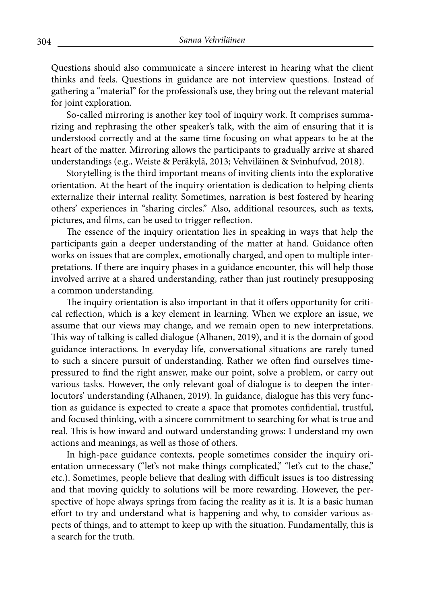Questions should also communicate a sincere interest in hearing what the client thinks and feels. Questions in guidance are not interview questions. Instead of gathering a "material" for the professional's use, they bring out the relevant material for joint exploration.

So-called mirroring is another key tool of inquiry work. It comprises summarizing and rephrasing the other speaker's talk, with the aim of ensuring that it is understood correctly and at the same time focusing on what appears to be at the heart of the matter. Mirroring allows the participants to gradually arrive at shared understandings (e.g., Weiste & Peräkylä, 2013; Vehviläinen & Svinhufvud, 2018).

Storytelling is the third important means of inviting clients into the explorative orientation. At the heart of the inquiry orientation is dedication to helping clients externalize their internal reality. Sometimes, narration is best fostered by hearing others' experiences in "sharing circles." Also, additional resources, such as texts, pictures, and films, can be used to trigger reflection.

The essence of the inquiry orientation lies in speaking in ways that help the participants gain a deeper understanding of the matter at hand. Guidance often works on issues that are complex, emotionally charged, and open to multiple interpretations. If there are inquiry phases in a guidance encounter, this will help those involved arrive at a shared understanding, rather than just routinely presupposing a common understanding.

The inquiry orientation is also important in that it offers opportunity for critical reflection, which is a key element in learning. When we explore an issue, we assume that our views may change, and we remain open to new interpretations. This way of talking is called dialogue (Alhanen, 2019), and it is the domain of good guidance interactions. In everyday life, conversational situations are rarely tuned to such a sincere pursuit of understanding. Rather we often find ourselves timepressured to find the right answer, make our point, solve a problem, or carry out various tasks. However, the only relevant goal of dialogue is to deepen the interlocutors' understanding (Alhanen, 2019). In guidance, dialogue has this very function as guidance is expected to create a space that promotes confidential, trustful, and focused thinking, with a sincere commitment to searching for what is true and real. This is how inward and outward understanding grows: I understand my own actions and meanings, as well as those of others.

In high-pace guidance contexts, people sometimes consider the inquiry orientation unnecessary ("let's not make things complicated," "let's cut to the chase," etc.). Sometimes, people believe that dealing with difficult issues is too distressing and that moving quickly to solutions will be more rewarding. However, the perspective of hope always springs from facing the reality as it is. It is a basic human effort to try and understand what is happening and why, to consider various aspects of things, and to attempt to keep up with the situation. Fundamentally, this is a search for the truth.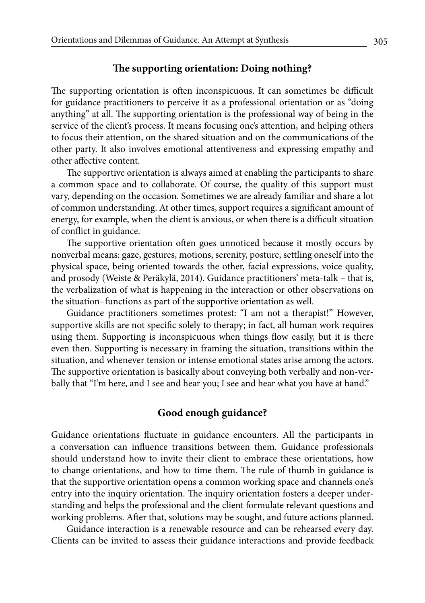## **The supporting orientation: Doing nothing?**

The supporting orientation is often inconspicuous. It can sometimes be difficult for guidance practitioners to perceive it as a professional orientation or as "doing anything" at all. The supporting orientation is the professional way of being in the service of the client's process. It means focusing one's attention, and helping others to focus their attention, on the shared situation and on the communications of the other party. It also involves emotional attentiveness and expressing empathy and other affective content.

The supportive orientation is always aimed at enabling the participants to share a common space and to collaborate. Of course, the quality of this support must vary, depending on the occasion. Sometimes we are already familiar and share a lot of common understanding. At other times, support requires a significant amount of energy, for example, when the client is anxious, or when there is a difficult situation of conflict in guidance.

The supportive orientation often goes unnoticed because it mostly occurs by nonverbal means: gaze, gestures, motions, serenity, posture, settling oneself into the physical space, being oriented towards the other, facial expressions, voice quality, and prosody (Weiste & Peräkylä, 2014). Guidance practitioners' meta-talk – that is, the verbalization of what is happening in the interaction or other observations on the situation–functions as part of the supportive orientation as well.

Guidance practitioners sometimes protest: "I am not a therapist!" However, supportive skills are not specific solely to therapy; in fact, all human work requires using them. Supporting is inconspicuous when things flow easily, but it is there even then. Supporting is necessary in framing the situation, transitions within the situation, and whenever tension or intense emotional states arise among the actors. The supportive orientation is basically about conveying both verbally and non-verbally that "I'm here, and I see and hear you; I see and hear what you have at hand."

## **Good enough guidance?**

Guidance orientations fluctuate in guidance encounters. All the participants in a conversation can influence transitions between them. Guidance professionals should understand how to invite their client to embrace these orientations, how to change orientations, and how to time them. The rule of thumb in guidance is that the supportive orientation opens a common working space and channels one's entry into the inquiry orientation. The inquiry orientation fosters a deeper understanding and helps the professional and the client formulate relevant questions and working problems. After that, solutions may be sought, and future actions planned.

Guidance interaction is a renewable resource and can be rehearsed every day. Clients can be invited to assess their guidance interactions and provide feedback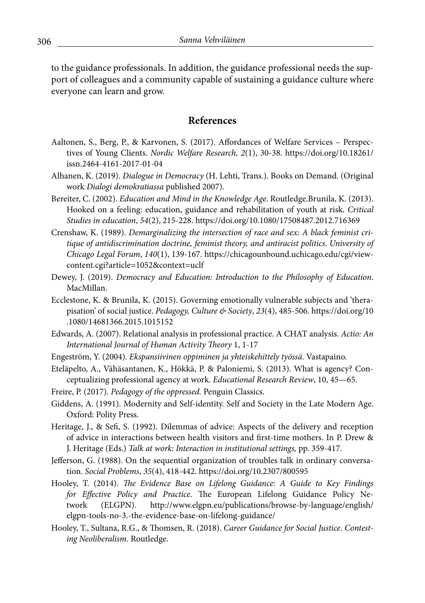to the guidance professionals. In addition, the guidance professional needs the support of colleagues and a community capable of sustaining a guidance culture where everyone can learn and grow.

## **References**

- Aaltonen, S., Berg, P., & Karvonen, S. (2017). Affordances of Welfare Services Perspectives of Young Clients. *Nordic Welfare Research, 2*(1), 30-38. https://doi.org/10.18261/ issn.2464-4161-2017-01-04
- Alhanen, K. (2019). *Dialogue in Democracy* (H. Lehti, Trans.). Books on Demand. (Original work *Dialogi demokratiassa* published 2007).
- Bereiter, C. (2002). *Education and Mind in the Knowledge Age*. Routledge.Brunila, K. (2013). Hooked on a feeling: education, guidance and rehabilitation of youth at risk. *Critical Studies in education*, *54*(2), 215-228. https://doi.org/10.1080/17508487.2012.716369
- Crenshaw, K. (1989). *Demarginalizing the intersection of race and sex: A black feminist critique of antidiscrimination doctrine, feminist theory, and antiracist politics*. *University of Chicago Legal Forum*, *140*(1), 139-167. https://chicagounbound.uchicago.edu/cgi/viewcontent.cgi?article=1052&context=uclf
- Dewey, J. (2019). *Democracy and Education: Introduction to the Philosophy of Education*. MacMillan.
- Ecclestone, K. & Brunila, K. (2015). Governing emotionally vulnerable subjects and 'therapisation' of social justice. *Pedagogy, Culture & Society*, *23*(4), 485-506. https://doi.org/10 .1080/14681366.2015.1015152
- Edwards, A. (2007). Relational analysis in professional practice. A CHAT analysis. *Actio: An International Journal of Human Activity Theory* 1, 1-17
- Engeström, Y. (2004). *Ekspansiivinen oppiminen ja yhteiskehittely työssä*. Vastapaino.
- Eteläpelto, A., Vähäsantanen, K., Hökkä, P. & Paloniemi, S. (2013). What is agency? Conceptualizing professional agency at work. *Educational Research Review*, 10, 45—65.
- Freire, P. (2017). *Pedagogy of the oppressed.* Penguin Classics.
- Giddens, A. (1991). Modernity and Self-identity. Self and Society in the Late Modern Age. Oxford: Polity Press.
- Heritage, J., & Sefi, S. (1992). Dilemmas of advice: Aspects of the delivery and reception of advice in interactions between health visitors and first-time mothers. In P. Drew & J. Heritage (Eds.) *Talk at work: Interaction in institutional settings,* pp. 359-417.
- Jefferson, G. (1988). On the sequential organization of troubles talk in ordinary conversation. *Social Problems*, *35*(4), 418-442. https://doi.org/10.2307/800595
- Hooley, T. (2014). *The Evidence Base on Lifelong Guidance: A Guide to Key Findings for Effective Policy and Practice*. The European Lifelong Guidance Policy Network (ELGPN). http://www.elgpn.eu/publications/browse-by-language/english/ elgpn-tools-no-3.-the-evidence-base-on-lifelong-guidance/
- Hooley, T., Sultana, R.G., & Thomsen, R. (2018). *Career Guidance for Social Justice. Contesting Neoliberalism.* Routledge.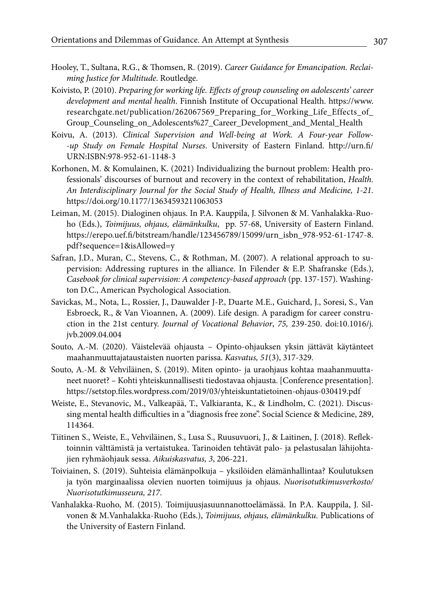- Hooley, T., Sultana, R.G., & Thomsen, R. (2019). *Career Guidance for Emancipation. Reclaiming Justice for Multitude*. Routledge.
- Koivisto, P. (2010). *Preparing for working life. Effects of group counseling on adolescents' career development and mental health*. Finnish Institute of Occupational Health. https://www. researchgate.net/publication/262067569\_Preparing\_for\_Working\_Life\_Effects\_of\_ Group\_Counseling\_on\_Adolescents%27\_Career\_Development\_and\_Mental\_Health
- Koivu, A. (2013). *Clinical Supervision and Well-being at Work. A Four-year Follow- -up Study on Female Hospital Nurses*. University of Eastern Finland. http://urn.fi/ URN:ISBN:978-952-61-1148-3
- Korhonen, M. & Komulainen, K. (2021) Individualizing the burnout problem: Health professionals' discourses of burnout and recovery in the context of rehabilitation, *Health. An Interdisciplinary Journal for the Social Study of Health, Illness and Medicine, 1-21.* https://doi.org/10.1177/13634593211063053
- Leiman, M. (2015). Dialoginen ohjaus. In P.A. Kauppila, J. Silvonen & M. Vanhalakka-Ruoho (Eds.), *Toimijuus, ohjaus, elämänkulku*, pp. 57-68, University of Eastern Finland. https://erepo.uef.fi/bitstream/handle/123456789/15099/urn\_isbn\_978-952-61-1747-8. pdf?sequence=1&isAllowed=y
- Safran, J.D., Muran, C., Stevens, C., & Rothman, M. (2007). A relational approach to supervision: Addressing ruptures in the alliance. In Filender & E.P. Shafranske (Eds.), *Casebook for clinical supervision: A competency-based approach* (pp. 137-157). Washington D.C., American Psychological Association.
- Savickas, M., Nota, L., Rossier, J., Dauwalder J-P., Duarte M.E., Guichard, J., Soresi, S., Van Esbroeck, R., & Van Vioannen, A. (2009). Life design. A paradigm for career construction in the 21st century. *Journal of Vocational Behavior*, *75,* 239-250. doi:10.1016/j. jvb.2009.04.004
- Souto, A.-M. (2020). Väistelevää ohjausta Opinto-ohjauksen yksin jättävät käytänteet maahanmuuttajataustaisten nuorten parissa. *Kasvatus, 51*(3), 317-329*.*
- Souto, A.-M. & Vehviläinen, S. (2019). Miten opinto- ja uraohjaus kohtaa maahanmuuttaneet nuoret? – Kohti yhteiskunnallisesti tiedostavaa ohjausta. [Conference presentation]. https://setstop.files.wordpress.com/2019/03/yhteiskuntatietoinen-ohjaus-030419.pdf
- Weiste, E., Stevanovic, M., Valkeapää, T., Valkiaranta, K., & Lindholm, C. (2021). Discussing mental health difficulties in a "diagnosis free zone". Social Science & Medicine, 289, 114364.
- Tiitinen S., Weiste, E., Vehviläinen, S., Lusa S., Ruusuvuori, J., & Laitinen, J. (2018). Reflektoinnin välttämistä ja vertaistukea. Tarinoiden tehtävät palo- ja pelastusalan lähijohtajien ryhmäohjauk sessa. *Aikuiskasvatus, 3*, 206-221.
- Toiviainen, S. (2019). Suhteisia elämänpolkuja yksilöiden elämänhallintaa? Koulutuksen ja työn marginaalissa olevien nuorten toimijuus ja ohjaus. *Nuorisotutkimusverkosto/ Nuorisotutkimusseura, 217*.
- Vanhalakka-Ruoho, M. (2015). Toimijuusjasuunnanottoelämässä. In P.A. Kauppila, J. Silvonen & M.Vanhalakka-Ruoho (Eds.), *Toimijuus, ohjaus, elämänkulku.* Publications of the University of Eastern Finland.